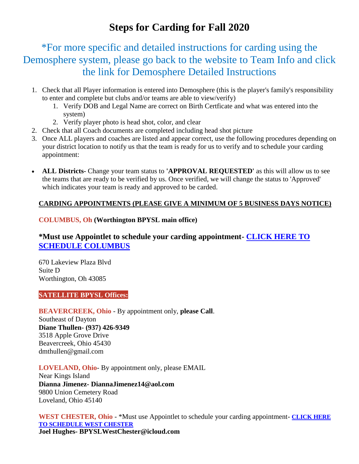# **Steps for Carding for Fall 2020**

\*For more specific and detailed instructions for carding using the Demosphere system, please go back to the website to Team Info and click the link for Demosphere Detailed Instructions

- 1. Check that all Player information is entered into Demosphere (this is the player's family's responsibility to enter and complete but clubs and/or teams are able to view/verify)
	- 1. Verify DOB and Legal Name are correct on Birth Certficate and what was entered into the system)
	- 2. Verify player photo is head shot, color, and clear
- 2. Check that all Coach documents are completed including head shot picture
- 3. Once ALL players and coaches are listed and appear correct, use the following procedures depending on your district location to notify us that the team is ready for us to verify and to schedule your carding appointment:
- **ALL Districts-** Change your team status to **'APPROVAL REQUESTED'** as this will allow us to see the teams that are ready to be verified by us. Once verified, we will change the status to 'Approved' which indicates your team is ready and approved to be carded.

## **CARDING APPOINTMENTS (PLEASE GIVE A MINIMUM OF 5 BUSINESS DAYS NOTICE)**

### **COLUMBUS, Oh (Worthington BPYSL main office)**

# **\*Must use Appointlet to schedule your carding appointment- [CLICK HERE TO](https://mid-ohio-select-soccer-league.appointlet.com/b/george-saurer)  [SCHEDULE COLUMBUS](https://mid-ohio-select-soccer-league.appointlet.com/b/george-saurer)**

670 Lakeview Plaza Blvd Suite D Worthington, Oh 43085

#### **SATELLITE BPYSL Offices:**

# **BEAVERCREEK, Ohio** - By appointment only, **please Call**.

Southeast of Dayton **Diane Thullen- (937) 426-9349** 3518 Apple Grove Drive Beavercreek, Ohio 45430 dmthullen@gmail.com

## **LOVELAND, Ohio**- By appointment only, please EMAIL

Near Kings Island **Dianna Jimenez- DiannaJimenez14@aol.com** 9800 Union Cemetery Road Loveland, Ohio 45140

**WEST CHESTER, Ohio** - \*Must use Appointlet to schedule your carding appointment- **[CLICK HERE](https://mid-ohio-select-soccer-league.appointlet.com/s/bpysl-full-team-carding-west/joel-hughes)  [TO SCHEDULE WEST CHESTER](https://mid-ohio-select-soccer-league.appointlet.com/s/bpysl-full-team-carding-west/joel-hughes) Joel Hughes- BPYSLWestChester@icloud.com**